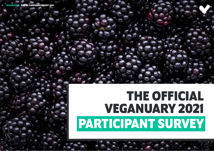**END OF CAMPAIGN REPORT 2021** 

# **THE OFFICIAL VEGANUARY 2021 PARTICIPANT SURVEY**

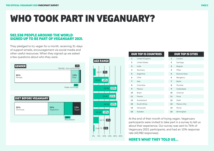#### **582,538 PEOPLE AROUND THE WORLD SIGNED UP TO BE PART OF VEGANUARY 2021.**

They pledged to try vegan for a month, receiving 31-days of support emails, encouragement via social media and other useful resources. When they signed up we asked a few questions about who they were.

> At the end of their month of trying vegan, Veganuary participants were invited to take part in a survey to tell us about their experience. Our survey was sent to 76% of Veganuary 2021 participants, and had an 10% response rate (43,982 responses).

#### **HERE'S WHAT THEY TOLD US…**

## **WHO TOOK PART IN VEGANUARY?**

| <b>OUR TOP 15 COUNTRIES</b> |                      | <b>OUR TOP 15 CITIES</b> |                     |  |  |
|-----------------------------|----------------------|--------------------------|---------------------|--|--|
| $\mathbf{1}$                | United Kingdom       | $\mathbf{1}$             | London              |  |  |
| $\overline{2}$              | <b>United States</b> | $\overline{2}$           | Santiago            |  |  |
| 3                           | India                | 3                        | Bogota              |  |  |
| 4                           | Germany              | $\overline{4}$           | Milan               |  |  |
| 5                           | Argentina            | 5                        | <b>Buenos Aires</b> |  |  |
| 6                           | Chile                | 6                        | Bengaluru           |  |  |
| $\overline{7}$              | Italy                | $\overline{7}$           | <b>Berlin</b>       |  |  |
| 8                           | Colombia             | 8                        | Mumbai              |  |  |
| 9                           | Mexico               | 9                        | Hyderabad           |  |  |
| 10                          | <b>Brazil</b>        | 10                       | Chennai             |  |  |
| 11                          | France               | 11                       | Pune                |  |  |
| 12                          | Switzerland          | 12                       | Delhi               |  |  |
| 13                          | South Africa         | 13                       | Mexico City         |  |  |
| 14                          | Venezuela            | 14                       | Rome                |  |  |
| 15                          | Sweden               | 15                       | Birminghan          |  |  |
|                             |                      |                          |                     |  |  |



|                       | <b>AGE RANGE</b> |           |           |  |  |  |
|-----------------------|------------------|-----------|-----------|--|--|--|
|                       |                  | 13-17 2%  |           |  |  |  |
|                       | 18-24 14%        |           |           |  |  |  |
|                       |                  |           | 25-34 22% |  |  |  |
|                       |                  |           | 35-44 21% |  |  |  |
|                       |                  |           | 45-54 22% |  |  |  |
|                       |                  | 55-64 15% |           |  |  |  |
|                       |                  |           | 65-74 5%  |  |  |  |
|                       | Over 75 1%       |           |           |  |  |  |
| 0% 5% 10% 15% 20% 25% |                  |           |           |  |  |  |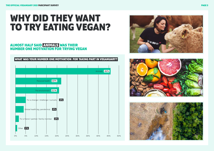### **WHY DID THEY WANT TO TRY EATING VEGAN?**

#### **ALMOST HALF SAID ANIMALS WAS THEIR NUMBER ONE MOTIVATION FOR TRYING VEGAN**









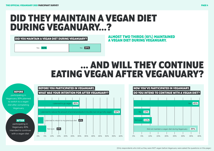### **DID THEY MAINTAIN A VEGAN DIET DURING VEGANUARY…?**

### **… AND WILL THEY CONTINUE EATING VEGAN AFTER VEGANUARY?**

#### **DID YOU MAINTAIN A VEGAN DIET DURING VEGANUARY?**







(Only respondents who told us they were NOT vegan before Veganuary were asked the questions on this page.)

**ALMOST TWO THIRDS (61%) MAINTAINED A VEGAN DIET DURING VEGANUARY.** 

### Yes **61%** No 39%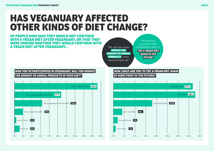### **HAS VEGANUARY AFFECTED OTHER KINDS OF DIET CHANGE?**



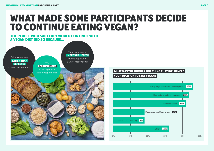### **WHAT MADE SOME PARTICIPANTS DECIDE TO CONTINUE EATING VEGAN?**

#### **THE PEOPLE WHO SAID THEY WOULD CONTINUE WITH A VEGAN DIET DID SO BECAUSE…**





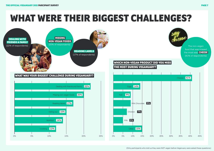### **WHAT WERE THEIR BIGGEST CHALLENGES?**



| 41%<br>Cheese<br>$\frac{0}{0}$<br>30%<br>35%<br>40% |  |  |     |
|-----------------------------------------------------|--|--|-----|
|                                                     |  |  |     |
|                                                     |  |  |     |
|                                                     |  |  |     |
|                                                     |  |  |     |
|                                                     |  |  |     |
|                                                     |  |  |     |
|                                                     |  |  |     |
|                                                     |  |  |     |
|                                                     |  |  |     |
|                                                     |  |  |     |
|                                                     |  |  | 45% |





The non-vegan food that was missed the most was **CHEESE**  (41% of respondents)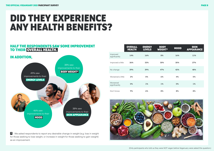

### **DID THEY EXPERIENCE ANY HEALTH BENEFITS?**

#### **HALF THE RESPONDENTS SAW SOME IMPROVEMENT TO THEIR OVERALL HEALTH.**

#### **IN ADDITION,**



**\*** We asked respondents to report any desirable change in weight (e.g. loss in weight for those seeking to lose weight, or increase in weight for those seeking to gain weight) as an improvement.

|                           | <b>OVERALL</b><br><b>HEALTH</b> | <b>ENERGY</b><br><b>LEVELS</b> | <b>BODY</b><br>WEIGHT* | <b>MOOD</b> | <b>SKIN</b><br><b>APPEARANCE</b> |
|---------------------------|---------------------------------|--------------------------------|------------------------|-------------|----------------------------------|
| Improved<br>significantly | 14%                             | 16%                            | 8%                     | 16%         | 11%                              |
| Improved a little         | 36%                             | 33%                            | 30%                    | 30%         | 27%                              |
| No change                 | 39%                             | 39%                            | 47%                    | 42%         | 48%                              |
| Worsened a little         | 2%                              | 5%                             | 6%                     | 4%          | 5%                               |
| Worsened<br>significantly | 0%                              | 1%                             | 1%                     | 0%          | 1%                               |
| Don't know                | 9%                              | 6%                             | 8%                     | 8%          | 8%                               |